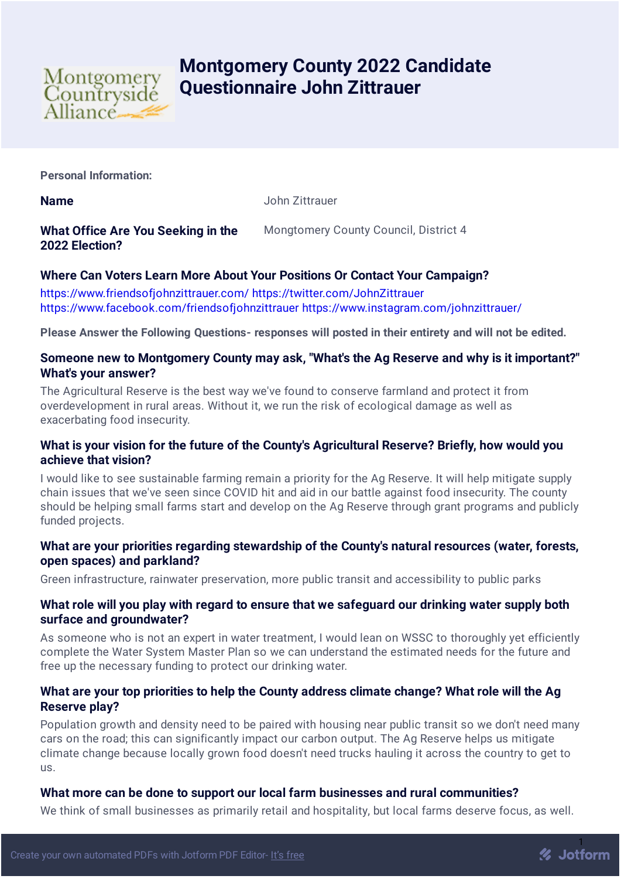

# **Montgomery County 2022 Candidate Questionnaire John Zittrauer**

**Personal Information:**

**Name** John Zittrauer

**What Office Are You Seeking in the 2022 Election?** Mongtomery County Council, District 4

# **Where Can Voters Learn More About Your Positions Or Contact Your Campaign?**

<https://www.friendsofjohnzittrauer.com/> <https://twitter.com/JohnZittrauer> <https://www.facebook.com/friendsofjohnzittrauer> <https://www.instagram.com/johnzittrauer/>

**Please Answer the Following Questions- responses will posted in their entirety and will not be edited.**

## **Someone new to Montgomery County may ask, "What's the Ag Reserve and why is it important?" What's your answer?**

The Agricultural Reserve is the best way we've found to conserve farmland and protect it from overdevelopment in rural areas. Without it, we run the risk of ecological damage as well as exacerbating food insecurity.

## **What is your vision for the future of the County's Agricultural Reserve? Briefly, how would you achieve that vision?**

I would like to see sustainable farming remain a priority for the Ag Reserve. It will help mitigate supply chain issues that we've seen since COVID hit and aid in our battle against food insecurity. The county should be helping small farms start and develop on the Ag Reserve through grant programs and publicly funded projects.

## **What are your priorities regarding stewardship of the County's natural resources (water, forests, open spaces) and parkland?**

Green infrastructure, rainwater preservation, more public transit and accessibility to public parks

## **What role will you play with regard to ensure that we safeguard our drinking water supply both surface and groundwater?**

As someone who is not an expert in water treatment, I would lean on WSSC to thoroughly yet efficiently complete the Water System Master Plan so we can understand the estimated needs for the future and free up the necessary funding to protect our drinking water.

# **What are your top priorities to help the County address climate change? What role will the Ag Reserve play?**

Population growth and density need to be paired with housing near public transit so we don't need many cars on the road; this can significantly impact our carbon output. The Ag Reserve helps us mitigate climate change because locally grown food doesn't need trucks hauling it across the country to get to us.

## **What more can be done to support our local farm businesses and rural communities?**

We think of small businesses as primarily retail and hospitality, but local farms deserve focus, as well.